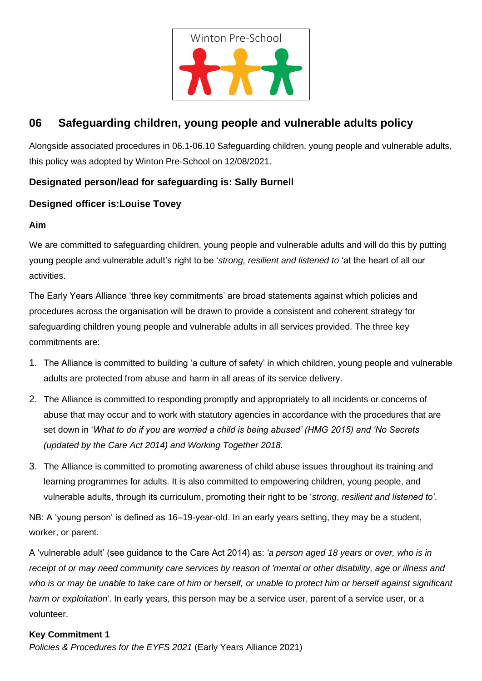

# **06 Safeguarding children, young people and vulnerable adults policy**

Alongside associated procedures in 06.1-06.10 Safeguarding children, young people and vulnerable adults, this policy was adopted by Winton Pre-School on 12/08/2021.

# **Designated person/lead for safeguarding is: Sally Burnell**

## **Designed officer is:Louise Tovey**

### **Aim**

We are committed to safeguarding children, young people and vulnerable adults and will do this by putting young people and vulnerable adult's right to be '*strong, resilient and listened to* 'at the heart of all our activities.

The Early Years Alliance 'three key commitments' are broad statements against which policies and procedures across the organisation will be drawn to provide a consistent and coherent strategy for safeguarding children young people and vulnerable adults in all services provided. The three key commitments are:

- 1. The Alliance is committed to building 'a culture of safety' in which children, young people and vulnerable adults are protected from abuse and harm in all areas of its service delivery.
- 2. The Alliance is committed to responding promptly and appropriately to all incidents or concerns of abuse that may occur and to work with statutory agencies in accordance with the procedures that are set down in '*What to do if you are worried a child is being abused' (HMG 2015) and 'No Secrets (updated by the Care Act 2014) and Working Together 2018.*
- 3. The Alliance is committed to promoting awareness of child abuse issues throughout its training and learning programmes for adults. It is also committed to empowering children, young people, and vulnerable adults, through its curriculum, promoting their right to be '*strong*, *resilient and listened to'*.

NB: A 'young person' is defined as 16–19-year-old. In an early years setting, they may be a student, worker, or parent.

A 'vulnerable adult' (see guidance to the Care Act 2014) as: *'a person aged 18 years or over, who is in receipt of or may need community care services by reason of 'mental or other disability, age or illness and*  who is or may be unable to take care of him or herself, or unable to protect him or herself against significant *harm or exploitation'*. In early years, this person may be a service user, parent of a service user, or a volunteer.

#### **Key Commitment 1**

*Policies & Procedures for the EYFS 2021* (Early Years Alliance 2021)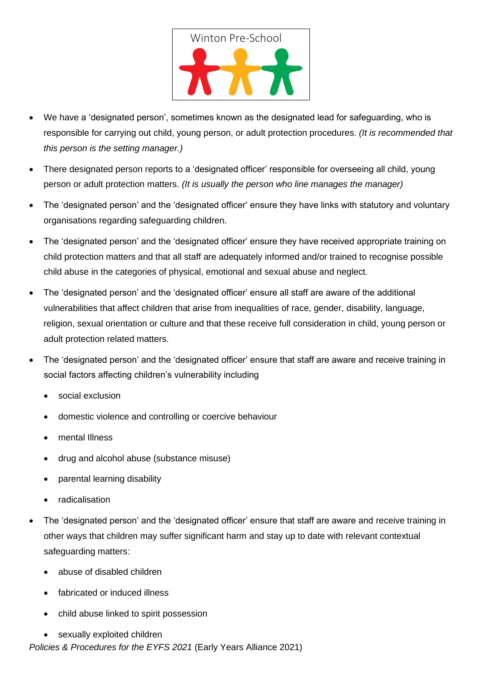

- We have a 'designated person', sometimes known as the designated lead for safeguarding, who is responsible for carrying out child, young person, or adult protection procedures. *(It is recommended that this person is the setting manager.)*
- There designated person reports to a 'designated officer' responsible for overseeing all child, young person or adult protection matters. *(It is usually the person who line manages the manager)*
- The 'designated person' and the 'designated officer' ensure they have links with statutory and voluntary organisations regarding safeguarding children.
- The 'designated person' and the 'designated officer' ensure they have received appropriate training on child protection matters and that all staff are adequately informed and/or trained to recognise possible child abuse in the categories of physical, emotional and sexual abuse and neglect.
- The 'designated person' and the 'designated officer' ensure all staff are aware of the additional vulnerabilities that affect children that arise from inequalities of race, gender, disability, language, religion, sexual orientation or culture and that these receive full consideration in child, young person or adult protection related matters.
- The 'designated person' and the 'designated officer' ensure that staff are aware and receive training in social factors affecting children's vulnerability including
	- social exclusion
	- domestic violence and controlling or coercive behaviour
	- mental Illness
	- drug and alcohol abuse (substance misuse)
	- parental learning disability
	- radicalisation
- The 'designated person' and the 'designated officer' ensure that staff are aware and receive training in other ways that children may suffer significant harm and stay up to date with relevant contextual safeguarding matters:
	- abuse of disabled children
	- fabricated or induced illness
	- child abuse linked to spirit possession
	- sexually exploited children

*Policies & Procedures for the EYFS 2021* (Early Years Alliance 2021)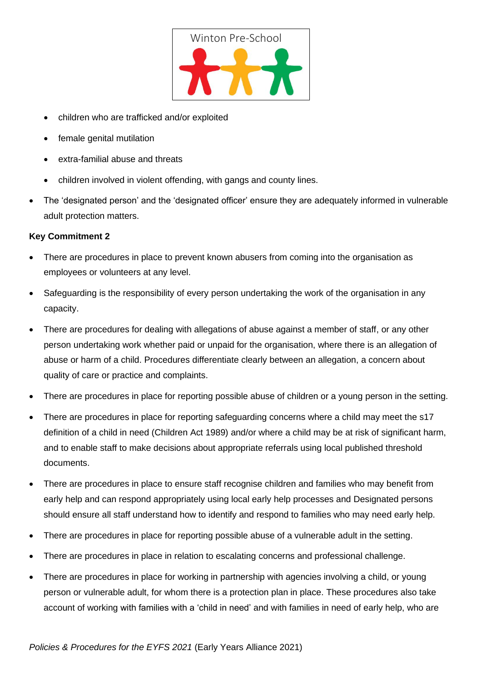

- children who are trafficked and/or exploited
- female genital mutilation
- extra-familial abuse and threats
- children involved in violent offending, with gangs and county lines.
- The 'designated person' and the 'designated officer' ensure they are adequately informed in vulnerable adult protection matters.

#### **Key Commitment 2**

- There are procedures in place to prevent known abusers from coming into the organisation as employees or volunteers at any level.
- Safeguarding is the responsibility of every person undertaking the work of the organisation in any capacity.
- There are procedures for dealing with allegations of abuse against a member of staff, or any other person undertaking work whether paid or unpaid for the organisation, where there is an allegation of abuse or harm of a child. Procedures differentiate clearly between an allegation, a concern about quality of care or practice and complaints.
- There are procedures in place for reporting possible abuse of children or a young person in the setting.
- There are procedures in place for reporting safeguarding concerns where a child may meet the s17 definition of a child in need (Children Act 1989) and/or where a child may be at risk of significant harm, and to enable staff to make decisions about appropriate referrals using local published threshold documents.
- There are procedures in place to ensure staff recognise children and families who may benefit from early help and can respond appropriately using local early help processes and Designated persons should ensure all staff understand how to identify and respond to families who may need early help.
- There are procedures in place for reporting possible abuse of a vulnerable adult in the setting.
- There are procedures in place in relation to escalating concerns and professional challenge.
- There are procedures in place for working in partnership with agencies involving a child, or young person or vulnerable adult, for whom there is a protection plan in place. These procedures also take account of working with families with a 'child in need' and with families in need of early help, who are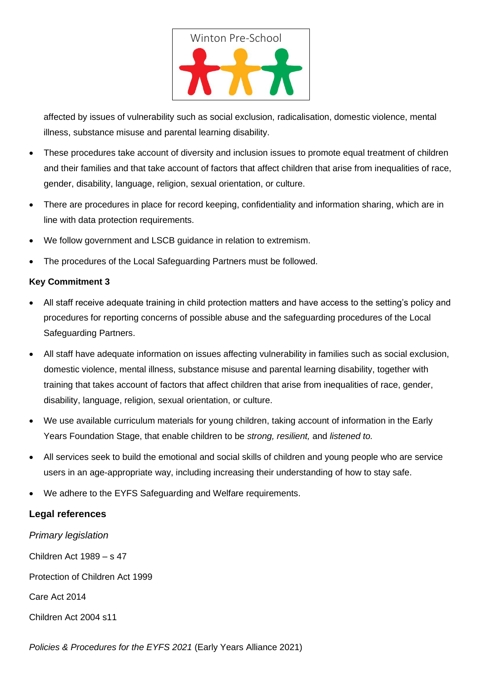

affected by issues of vulnerability such as social exclusion, radicalisation, domestic violence, mental illness, substance misuse and parental learning disability.

- These procedures take account of diversity and inclusion issues to promote equal treatment of children and their families and that take account of factors that affect children that arise from inequalities of race, gender, disability, language, religion, sexual orientation, or culture.
- There are procedures in place for record keeping, confidentiality and information sharing, which are in line with data protection requirements.
- We follow government and LSCB guidance in relation to extremism.
- The procedures of the Local Safeguarding Partners must be followed.

#### **Key Commitment 3**

- All staff receive adequate training in child protection matters and have access to the setting's policy and procedures for reporting concerns of possible abuse and the safeguarding procedures of the Local Safeguarding Partners.
- All staff have adequate information on issues affecting vulnerability in families such as social exclusion, domestic violence, mental illness, substance misuse and parental learning disability, together with training that takes account of factors that affect children that arise from inequalities of race, gender, disability, language, religion, sexual orientation, or culture.
- We use available curriculum materials for young children, taking account of information in the Early Years Foundation Stage, that enable children to be *strong, resilient,* and *listened to.*
- All services seek to build the emotional and social skills of children and young people who are service users in an age-appropriate way, including increasing their understanding of how to stay safe.
- We adhere to the EYFS Safeguarding and Welfare requirements.

### **Legal references**

*Primary legislation* Children Act 1989 – s 47 Protection of Children Act 1999 Care Act 2014 Children Act 2004 s11

*Policies & Procedures for the EYFS 2021* (Early Years Alliance 2021)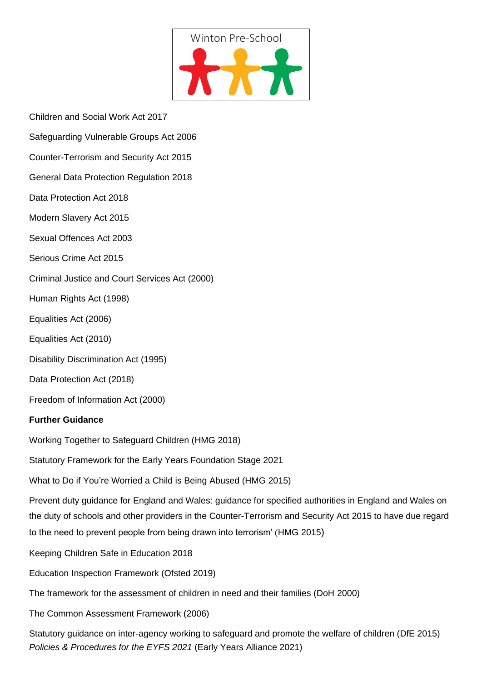

- Children and Social Work Act 2017
- Safeguarding Vulnerable Groups Act 2006
- Counter-Terrorism and Security Act 2015
- General Data Protection Regulation 2018
- Data Protection Act 2018
- Modern Slavery Act 2015
- Sexual Offences Act 2003
- Serious Crime Act 2015
- Criminal Justice and Court Services Act (2000)
- Human Rights Act (1998)
- Equalities Act (2006)
- Equalities Act (2010)
- Disability Discrimination Act (1995)
- Data Protection Act (2018)
- Freedom of Information Act (2000)

#### **Further Guidance**

Working Together to Safeguard Children (HMG 2018)

Statutory Framework for the Early Years Foundation Stage 2021

What to Do if You're Worried a Child is Being Abused (HMG 2015)

Prevent duty guidance for England and Wales: guidance for specified authorities in England and Wales on the duty of schools and other providers in the Counter-Terrorism and Security Act 2015 to have due regard to the need to prevent people from being drawn into terrorism' (HMG 2015)

Keeping Children Safe in Education 2018

Education Inspection Framework (Ofsted 2019)

The framework for the assessment of children in need and their families (DoH 2000)

The Common Assessment Framework (2006)

*Policies & Procedures for the EYFS 2021* (Early Years Alliance 2021) Statutory guidance on inter-agency working to safeguard and promote the welfare of children (DfE 2015)